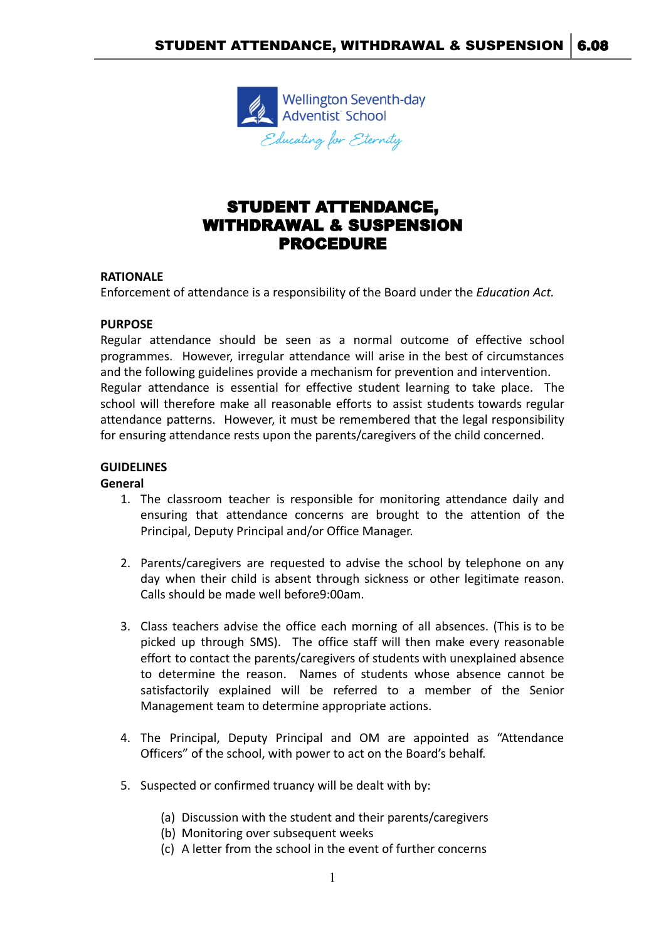

# STUDENT ATTENDANCE, WITHDRAWAL & SUSPENSION PROCEDURE

#### **RATIONALE**

Enforcement of attendance is a responsibility of the Board under the *Education Act.*

#### **PURPOSE**

Regular attendance should be seen as a normal outcome of effective school programmes. However, irregular attendance will arise in the best of circumstances and the following guidelines provide a mechanism for prevention and intervention. Regular attendance is essential for effective student learning to take place. The school will therefore make all reasonable efforts to assist students towards regular attendance patterns. However, it must be remembered that the legal responsibility for ensuring attendance rests upon the parents/caregivers of the child concerned.

#### **GUIDELINES**

#### **General**

- 1. The classroom teacher is responsible for monitoring attendance daily and ensuring that attendance concerns are brought to the attention of the Principal, Deputy Principal and/or Office Manager.
- 2. Parents/caregivers are requested to advise the school by telephone on any day when their child is absent through sickness or other legitimate reason. Calls should be made well before9:00am.
- 3. Class teachers advise the office each morning of all absences. (This is to be picked up through SMS). The office staff will then make every reasonable effort to contact the parents/caregivers of students with unexplained absence to determine the reason. Names of students whose absence cannot be satisfactorily explained will be referred to a member of the Senior Management team to determine appropriate actions.
- 4. The Principal, Deputy Principal and OM are appointed as "Attendance Officers" of the school, with power to act on the Board's behalf.
- 5. Suspected or confirmed truancy will be dealt with by:
	- (a) Discussion with the student and their parents/caregivers
	- (b) Monitoring over subsequent weeks
	- (c) A letter from the school in the event of further concerns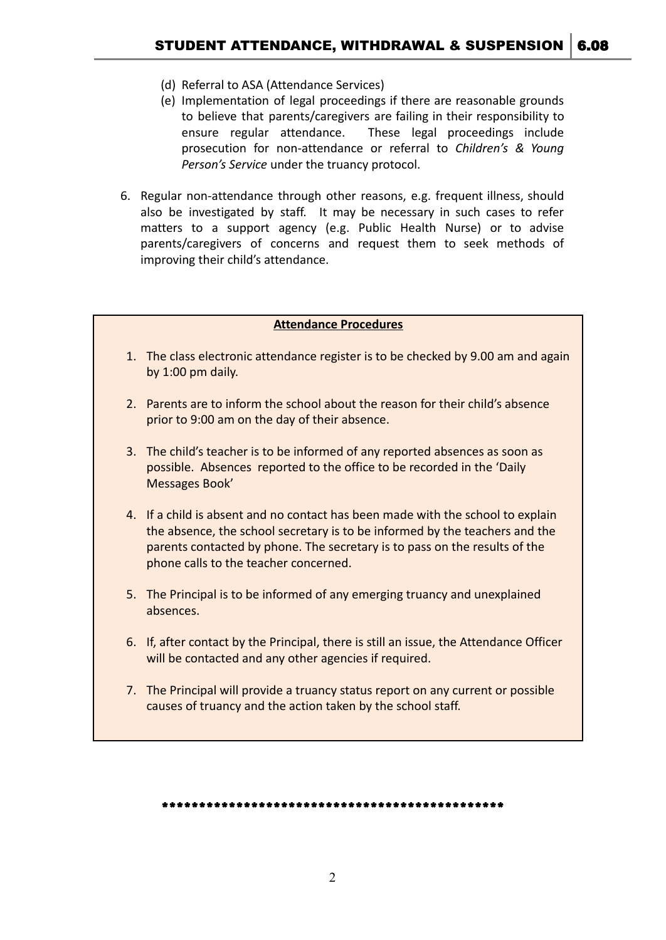- (d) Referral to ASA (Attendance Services)
- (e) Implementation of legal proceedings if there are reasonable grounds to believe that parents/caregivers are failing in their responsibility to ensure regular attendance. These legal proceedings include prosecution for non-attendance or referral to *Children's & Young Person's Service* under the truancy protocol.
- 6. Regular non-attendance through other reasons, e.g. frequent illness, should also be investigated by staff. It may be necessary in such cases to refer matters to a support agency (e.g. Public Health Nurse) or to advise parents/caregivers of concerns and request them to seek methods of improving their child's attendance.

#### **Attendance Procedures**

- 1. The class electronic attendance register is to be checked by 9.00 am and again by 1:00 pm daily.
- 2. Parents are to inform the school about the reason for their child's absence prior to 9:00 am on the day of their absence.
- 3. The child's teacher is to be informed of any reported absences as soon as possible. Absences reported to the office to be recorded in the 'Daily Messages Book'
- 4. If a child is absent and no contact has been made with the school to explain the absence, the school secretary is to be informed by the teachers and the parents contacted by phone. The secretary is to pass on the results of the phone calls to the teacher concerned.
- 5. The Principal is to be informed of any emerging truancy and unexplained absences.
- 6. If, after contact by the Principal, there is still an issue, the Attendance Officer will be contacted and any other agencies if required.
- 7. The Principal will provide a truancy status report on any current or possible causes of truancy and the action taken by the school staff.

\*\*\*\*\*\*\*\*\*\*\*\*\*\*\*\*\*\*\*\*\*\*\*\*\*\*\*\*\*\*\*\*\*\*\*\*\*\*\*\*\*\*\*\*\*\*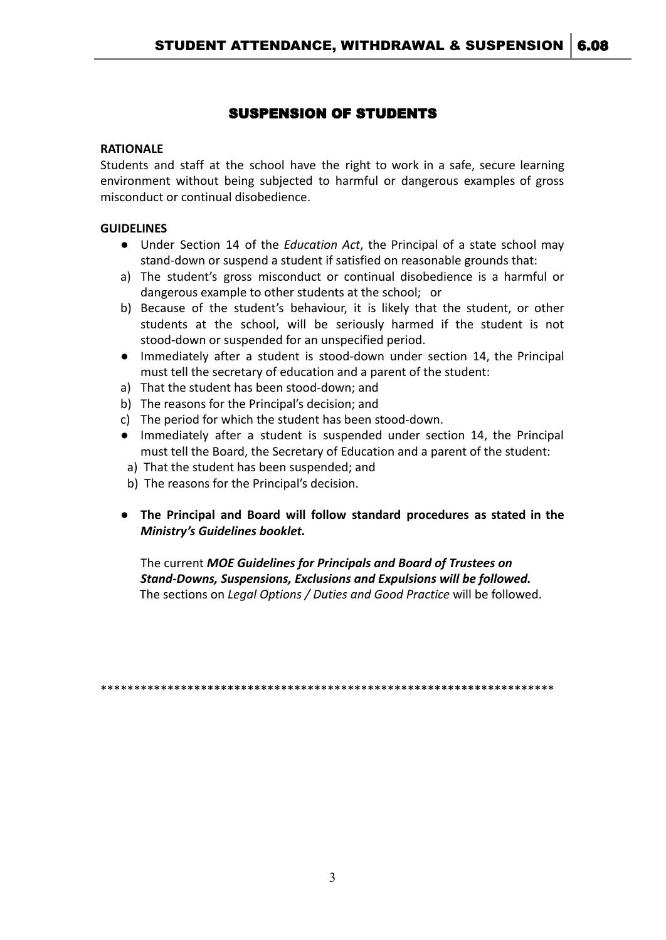## SUSPENSION OF STUDENTS

#### **RATIONALE**

Students and staff at the school have the right to work in a safe, secure learning environment without being subjected to harmful or dangerous examples of gross misconduct or continual disobedience.

#### **GUIDELINES**

- Under Section 14 of the *Education Act*, the Principal of a state school may stand-down or suspend a student if satisfied on reasonable grounds that:
- a) The student's gross misconduct or continual disobedience is a harmful or dangerous example to other students at the school; or
- b) Because of the student's behaviour, it is likely that the student, or other students at the school, will be seriously harmed if the student is not stood-down or suspended for an unspecified period.
- Immediately after a student is stood-down under section 14, the Principal must tell the secretary of education and a parent of the student:
- a) That the student has been stood-down; and
- b) The reasons for the Principal's decision; and
- c) The period for which the student has been stood-down.
- Immediately after a student is suspended under section 14, the Principal must tell the Board, the Secretary of Education and a parent of the student:
- a) That the student has been suspended; and
- b) The reasons for the Principal's decision.
- *●* **The Principal and Board will follow standard procedures as stated in the** *Ministry's Guidelines booklet.*

The current *MOE Guidelines for Principals and Board of Trustees on Stand-Downs, Suspensions, Exclusions and Expulsions will be followed.* The sections on *Legal Options / Duties and Good Practice* will be followed.

\*\*\*\*\*\*\*\*\*\*\*\*\*\*\*\*\*\*\*\*\*\*\*\*\*\*\*\*\*\*\*\*\*\*\*\*\*\*\*\*\*\*\*\*\*\*\*\*\*\*\*\*\*\*\*\*\*\*\*\*\*\*\*\*\*\*\*\*